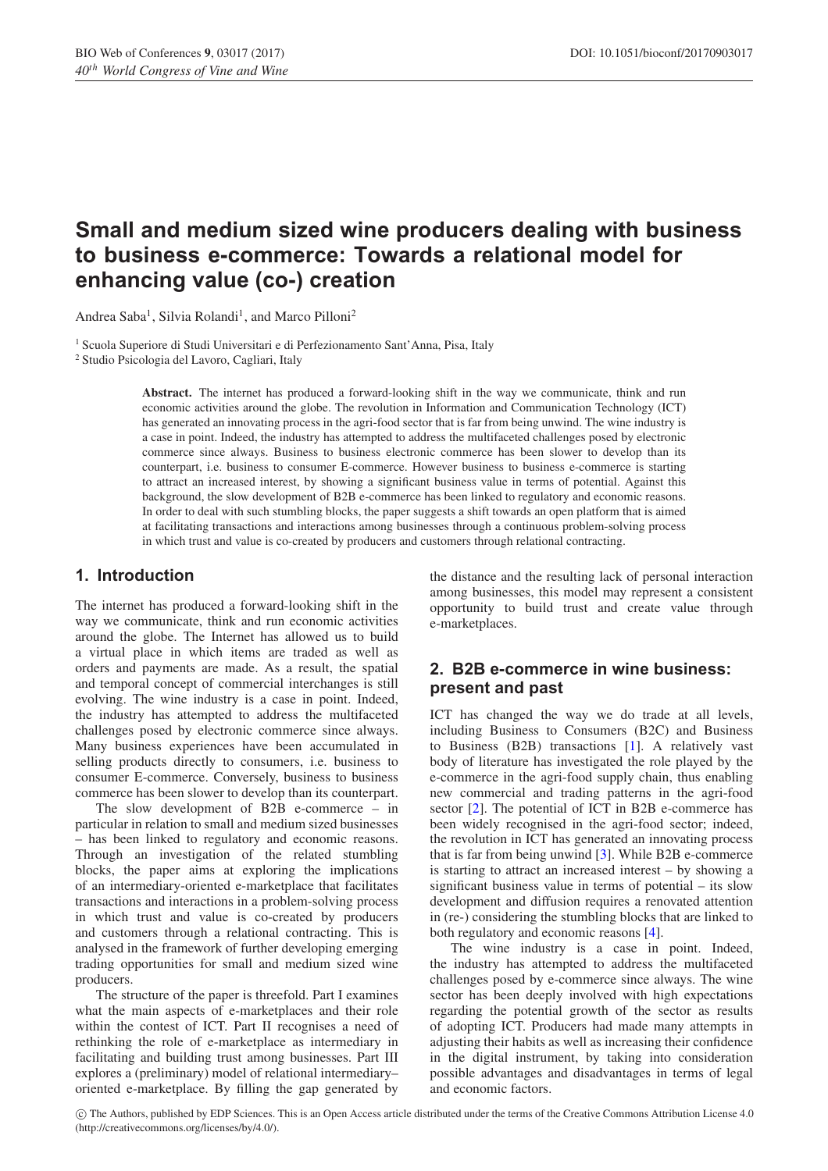# **Small and medium sized wine producers dealing with business to business e-commerce: Towards a relational model for enhancing value (co-) creation**

Andrea Saba<sup>1</sup>, Silvia Rolandi<sup>1</sup>, and Marco Pilloni<sup>2</sup>

<sup>1</sup> Scuola Superiore di Studi Universitari e di Perfezionamento Sant'Anna, Pisa, Italy

<sup>2</sup> Studio Psicologia del Lavoro, Cagliari, Italy

**Abstract.** The internet has produced a forward-looking shift in the way we communicate, think and run economic activities around the globe. The revolution in Information and Communication Technology (ICT) has generated an innovating process in the agri-food sector that is far from being unwind. The wine industry is a case in point. Indeed, the industry has attempted to address the multifaceted challenges posed by electronic commerce since always. Business to business electronic commerce has been slower to develop than its counterpart, i.e. business to consumer E-commerce. However business to business e-commerce is starting to attract an increased interest, by showing a significant business value in terms of potential. Against this background, the slow development of B2B e-commerce has been linked to regulatory and economic reasons. In order to deal with such stumbling blocks, the paper suggests a shift towards an open platform that is aimed at facilitating transactions and interactions among businesses through a continuous problem-solving process in which trust and value is co-created by producers and customers through relational contracting.

### **1. Introduction**

The internet has produced a forward-looking shift in the way we communicate, think and run economic activities around the globe. The Internet has allowed us to build a virtual place in which items are traded as well as orders and payments are made. As a result, the spatial and temporal concept of commercial interchanges is still evolving. The wine industry is a case in point. Indeed, the industry has attempted to address the multifaceted challenges posed by electronic commerce since always. Many business experiences have been accumulated in selling products directly to consumers, i.e. business to consumer E-commerce. Conversely, business to business commerce has been slower to develop than its counterpart.

The slow development of B2B e-commerce – in particular in relation to small and medium sized businesses – has been linked to regulatory and economic reasons. Through an investigation of the related stumbling blocks, the paper aims at exploring the implications of an intermediary-oriented e-marketplace that facilitates transactions and interactions in a problem-solving process in which trust and value is co-created by producers and customers through a relational contracting. This is analysed in the framework of further developing emerging trading opportunities for small and medium sized wine producers.

The structure of the paper is threefold. Part I examines what the main aspects of e-marketplaces and their role within the contest of ICT. Part II recognises a need of rethinking the role of e-marketplace as intermediary in facilitating and building trust among businesses. Part III explores a (preliminary) model of relational intermediary– oriented e-marketplace. By filling the gap generated by the distance and the resulting lack of personal interaction among businesses, this model may represent a consistent opportunity to build trust and create value through e-marketplaces.

## **2. B2B e-commerce in wine business: present and past**

ICT has changed the way we do trade at all levels, including Business to Consumers (B2C) and Business to Business (B2B) transactions [\[1](#page-3-0)]. A relatively vast body of literature has investigated the role played by the e-commerce in the agri-food supply chain, thus enabling new commercial and trading patterns in the agri-food sector [\[2\]](#page-3-1). The potential of ICT in B2B e-commerce has been widely recognised in the agri-food sector; indeed, the revolution in ICT has generated an innovating process that is far from being unwind [\[3](#page-3-2)]. While B2B e-commerce is starting to attract an increased interest – by showing a significant business value in terms of potential – its slow development and diffusion requires a renovated attention in (re-) considering the stumbling blocks that are linked to both regulatory and economic reasons [\[4](#page-3-3)].

The wine industry is a case in point. Indeed, the industry has attempted to address the multifaceted challenges posed by e-commerce since always. The wine sector has been deeply involved with high expectations regarding the potential growth of the sector as results of adopting ICT. Producers had made many attempts in adjusting their habits as well as increasing their confidence in the digital instrument, by taking into consideration possible advantages and disadvantages in terms of legal and economic factors.

c The Authors, published by EDP Sciences. This is an Open Access article distributed under the terms of the Creative Commons Attribution License 4.0 (http://creativecommons.org/licenses/by/4.0/).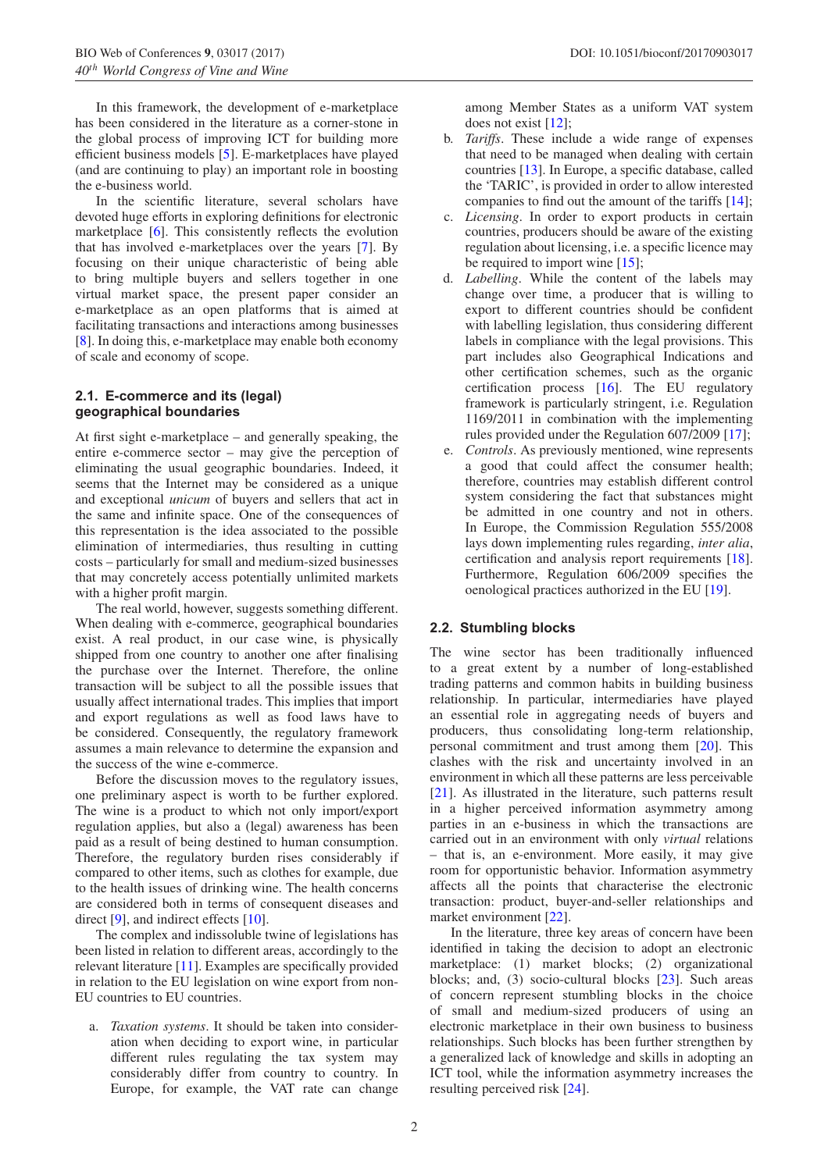In this framework, the development of e-marketplace has been considered in the literature as a corner-stone in the global process of improving ICT for building more efficient business models [\[5](#page-3-4)]. E-marketplaces have played (and are continuing to play) an important role in boosting the e-business world.

In the scientific literature, several scholars have devoted huge efforts in exploring definitions for electronic marketplace [\[6](#page-4-0)]. This consistently reflects the evolution that has involved e-marketplaces over the years [\[7\]](#page-4-1). By focusing on their unique characteristic of being able to bring multiple buyers and sellers together in one virtual market space, the present paper consider an e-marketplace as an open platforms that is aimed at facilitating transactions and interactions among businesses [\[8](#page-4-2)]. In doing this, e-marketplace may enable both economy of scale and economy of scope.

#### **2.1. E-commerce and its (legal) geographical boundaries**

At first sight e-marketplace – and generally speaking, the entire e-commerce sector – may give the perception of eliminating the usual geographic boundaries. Indeed, it seems that the Internet may be considered as a unique and exceptional *unicum* of buyers and sellers that act in the same and infinite space. One of the consequences of this representation is the idea associated to the possible elimination of intermediaries, thus resulting in cutting costs – particularly for small and medium-sized businesses that may concretely access potentially unlimited markets with a higher profit margin.

The real world, however, suggests something different. When dealing with e-commerce, geographical boundaries exist. A real product, in our case wine, is physically shipped from one country to another one after finalising the purchase over the Internet. Therefore, the online transaction will be subject to all the possible issues that usually affect international trades. This implies that import and export regulations as well as food laws have to be considered. Consequently, the regulatory framework assumes a main relevance to determine the expansion and the success of the wine e-commerce.

Before the discussion moves to the regulatory issues, one preliminary aspect is worth to be further explored. The wine is a product to which not only import/export regulation applies, but also a (legal) awareness has been paid as a result of being destined to human consumption. Therefore, the regulatory burden rises considerably if compared to other items, such as clothes for example, due to the health issues of drinking wine. The health concerns are considered both in terms of consequent diseases and direct [\[9\]](#page-4-3), and indirect effects [\[10\]](#page-4-4).

The complex and indissoluble twine of legislations has been listed in relation to different areas, accordingly to the relevant literature [\[11](#page-4-5)]. Examples are specifically provided in relation to the EU legislation on wine export from non-EU countries to EU countries.

a. *Taxation systems*. It should be taken into consideration when deciding to export wine, in particular different rules regulating the tax system may considerably differ from country to country. In Europe, for example, the VAT rate can change among Member States as a uniform VAT system does not exist [\[12\]](#page-4-6);

- b. *Tariffs*. These include a wide range of expenses that need to be managed when dealing with certain countries [\[13\]](#page-4-7). In Europe, a specific database, called the 'TARIC', is provided in order to allow interested companies to find out the amount of the tariffs [\[14\]](#page-4-8);
- c. *Licensing*. In order to export products in certain countries, producers should be aware of the existing regulation about licensing, i.e. a specific licence may be required to import wine [\[15](#page-4-9)];
- d. *Labelling*. While the content of the labels may change over time, a producer that is willing to export to different countries should be confident with labelling legislation, thus considering different labels in compliance with the legal provisions. This part includes also Geographical Indications and other certification schemes, such as the organic certification process [\[16](#page-4-10)]. The EU regulatory framework is particularly stringent, i.e. Regulation 1169/2011 in combination with the implementing rules provided under the Regulation 607/2009 [\[17](#page-4-11)];
- e. *Controls*. As previously mentioned, wine represents a good that could affect the consumer health; therefore, countries may establish different control system considering the fact that substances might be admitted in one country and not in others. In Europe, the Commission Regulation 555/2008 lays down implementing rules regarding, *inter alia*, certification and analysis report requirements [\[18](#page-4-12)]. Furthermore, Regulation 606/2009 specifies the oenological practices authorized in the EU [\[19\]](#page-4-13).

#### **2.2. Stumbling blocks**

The wine sector has been traditionally influenced to a great extent by a number of long-established trading patterns and common habits in building business relationship. In particular, intermediaries have played an essential role in aggregating needs of buyers and producers, thus consolidating long-term relationship, personal commitment and trust among them [\[20](#page-4-14)]. This clashes with the risk and uncertainty involved in an environment in which all these patterns are less perceivable [\[21](#page-4-15)]. As illustrated in the literature, such patterns result in a higher perceived information asymmetry among parties in an e-business in which the transactions are carried out in an environment with only *virtual* relations – that is, an e-environment. More easily, it may give room for opportunistic behavior. Information asymmetry affects all the points that characterise the electronic transaction: product, buyer-and-seller relationships and market environment [\[22\]](#page-4-16).

In the literature, three key areas of concern have been identified in taking the decision to adopt an electronic marketplace: (1) market blocks; (2) organizational blocks; and, (3) socio-cultural blocks [\[23](#page-4-17)]. Such areas of concern represent stumbling blocks in the choice of small and medium-sized producers of using an electronic marketplace in their own business to business relationships. Such blocks has been further strengthen by a generalized lack of knowledge and skills in adopting an ICT tool, while the information asymmetry increases the resulting perceived risk [\[24\]](#page-4-18).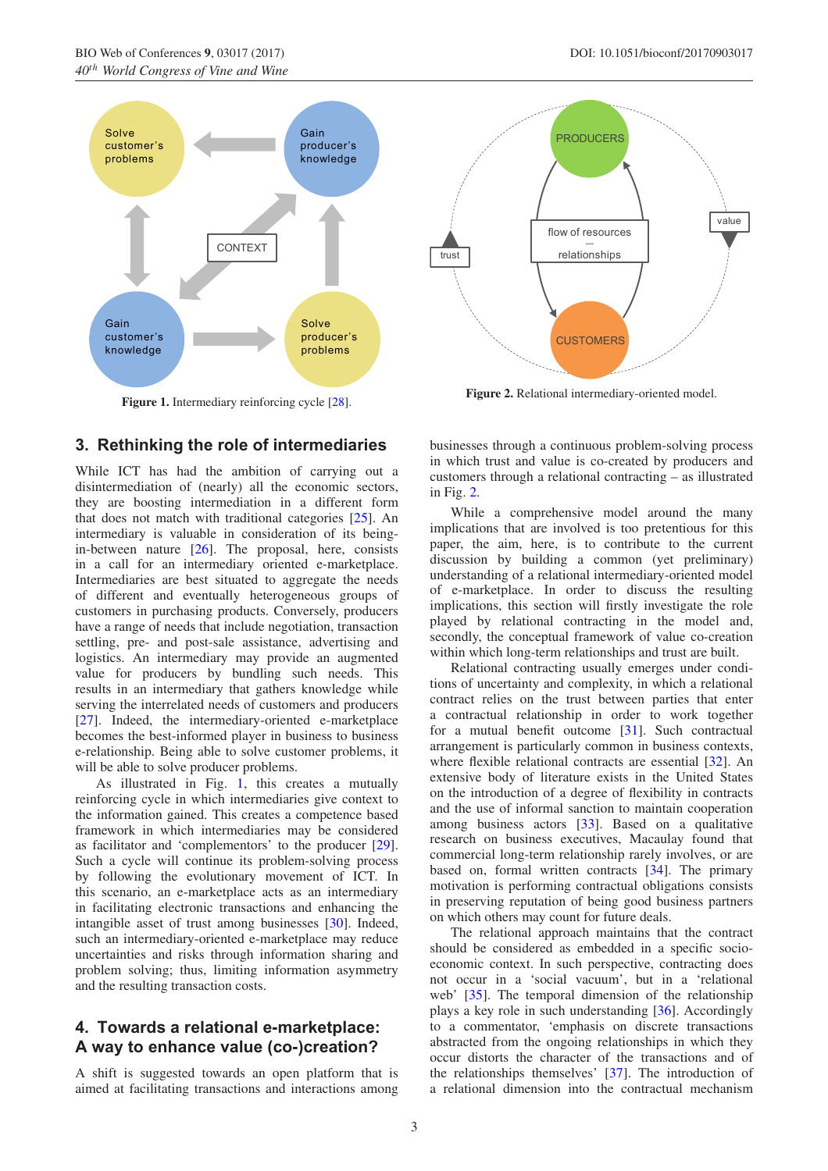<span id="page-2-0"></span>

Figure 1. Intermediary reinforcing cycle [\[28\]](#page-4-19).

# **3. Rethinking the role of intermediaries**

While ICT has had the ambition of carrying out a disintermediation of (nearly) all the economic sectors, they are boosting intermediation in a different form that does not match with traditional categories [\[25](#page-4-20)]. An intermediary is valuable in consideration of its beingin-between nature  $[26]$  $[26]$ . The proposal, here, consists in a call for an intermediary oriented e-marketplace. Intermediaries are best situated to aggregate the needs of different and eventually heterogeneous groups of customers in purchasing products. Conversely, producers have a range of needs that include negotiation, transaction settling, pre- and post-sale assistance, advertising and logistics. An intermediary may provide an augmented value for producers by bundling such needs. This results in an intermediary that gathers knowledge while serving the interrelated needs of customers and producers [\[27](#page-4-22)]. Indeed, the intermediary-oriented e-marketplace becomes the best-informed player in business to business e-relationship. Being able to solve customer problems, it will be able to solve producer problems.

As illustrated in Fig. [1,](#page-2-0) this creates a mutually reinforcing cycle in which intermediaries give context to the information gained. This creates a competence based framework in which intermediaries may be considered as facilitator and 'complementors' to the producer [\[29\]](#page-5-0). Such a cycle will continue its problem-solving process by following the evolutionary movement of ICT. In this scenario, an e-marketplace acts as an intermediary in facilitating electronic transactions and enhancing the intangible asset of trust among businesses [\[30\]](#page-5-1). Indeed, such an intermediary-oriented e-marketplace may reduce uncertainties and risks through information sharing and problem solving; thus, limiting information asymmetry and the resulting transaction costs.

# **4. Towards a relational e-marketplace: A way to enhance value (co-)creation?**

A shift is suggested towards an open platform that is aimed at facilitating transactions and interactions among

<span id="page-2-1"></span>

**Figure 2.** Relational intermediary-oriented model.

businesses through a continuous problem-solving process in which trust and value is co-created by producers and customers through a relational contracting – as illustrated in Fig. [2.](#page-2-1)

While a comprehensive model around the many implications that are involved is too pretentious for this paper, the aim, here, is to contribute to the current discussion by building a common (yet preliminary) understanding of a relational intermediary-oriented model of e-marketplace. In order to discuss the resulting implications, this section will firstly investigate the role played by relational contracting in the model and, secondly, the conceptual framework of value co-creation within which long-term relationships and trust are built.

Relational contracting usually emerges under conditions of uncertainty and complexity, in which a relational contract relies on the trust between parties that enter a contractual relationship in order to work together for a mutual benefit outcome [\[31\]](#page-5-2). Such contractual arrangement is particularly common in business contexts, where flexible relational contracts are essential [\[32](#page-5-3)]. An extensive body of literature exists in the United States on the introduction of a degree of flexibility in contracts and the use of informal sanction to maintain cooperation among business actors [\[33](#page-5-4)]. Based on a qualitative research on business executives, Macaulay found that commercial long-term relationship rarely involves, or are based on, formal written contracts [\[34\]](#page-5-5). The primary motivation is performing contractual obligations consists in preserving reputation of being good business partners on which others may count for future deals.

The relational approach maintains that the contract should be considered as embedded in a specific socioeconomic context. In such perspective, contracting does not occur in a 'social vacuum', but in a 'relational web' [\[35\]](#page-5-6). The temporal dimension of the relationship plays a key role in such understanding [\[36](#page-5-7)]. Accordingly to a commentator, 'emphasis on discrete transactions abstracted from the ongoing relationships in which they occur distorts the character of the transactions and of the relationships themselves' [\[37\]](#page-5-8). The introduction of a relational dimension into the contractual mechanism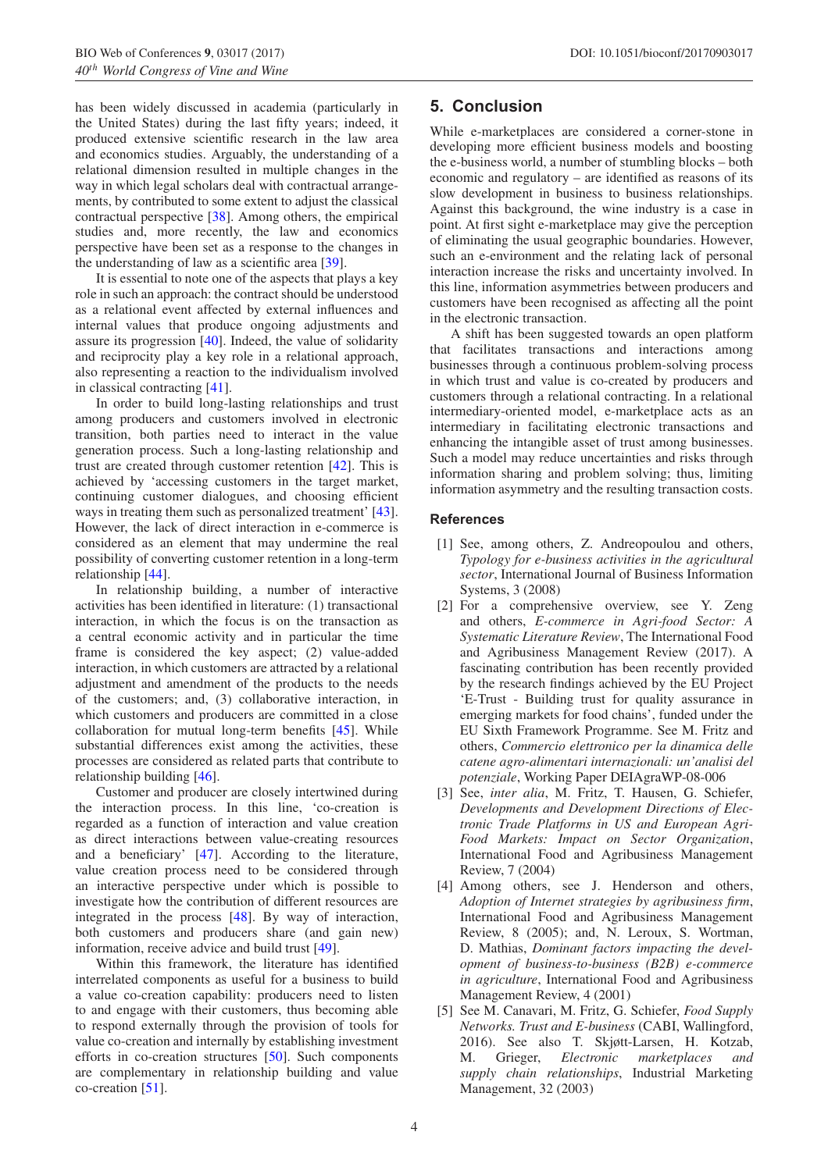has been widely discussed in academia (particularly in the United States) during the last fifty years; indeed, it produced extensive scientific research in the law area and economics studies. Arguably, the understanding of a relational dimension resulted in multiple changes in the way in which legal scholars deal with contractual arrangements, by contributed to some extent to adjust the classical contractual perspective [\[38](#page-5-9)]. Among others, the empirical studies and, more recently, the law and economics perspective have been set as a response to the changes in the understanding of law as a scientific area [\[39\]](#page-5-10).

It is essential to note one of the aspects that plays a key role in such an approach: the contract should be understood as a relational event affected by external influences and internal values that produce ongoing adjustments and assure its progression [\[40\]](#page-5-11). Indeed, the value of solidarity and reciprocity play a key role in a relational approach, also representing a reaction to the individualism involved in classical contracting [\[41](#page-5-12)].

In order to build long-lasting relationships and trust among producers and customers involved in electronic transition, both parties need to interact in the value generation process. Such a long-lasting relationship and trust are created through customer retention [\[42](#page-5-13)]. This is achieved by 'accessing customers in the target market, continuing customer dialogues, and choosing efficient ways in treating them such as personalized treatment' [\[43\]](#page-5-14). However, the lack of direct interaction in e-commerce is considered as an element that may undermine the real possibility of converting customer retention in a long-term relationship [\[44\]](#page-5-15).

In relationship building, a number of interactive activities has been identified in literature: (1) transactional interaction, in which the focus is on the transaction as a central economic activity and in particular the time frame is considered the key aspect; (2) value-added interaction, in which customers are attracted by a relational adjustment and amendment of the products to the needs of the customers; and, (3) collaborative interaction, in which customers and producers are committed in a close collaboration for mutual long-term benefits [\[45\]](#page-5-16). While substantial differences exist among the activities, these processes are considered as related parts that contribute to relationship building [\[46](#page-5-17)].

Customer and producer are closely intertwined during the interaction process. In this line, 'co-creation is regarded as a function of interaction and value creation as direct interactions between value-creating resources and a beneficiary' [\[47\]](#page-5-18). According to the literature, value creation process need to be considered through an interactive perspective under which is possible to investigate how the contribution of different resources are integrated in the process [\[48\]](#page-5-19). By way of interaction, both customers and producers share (and gain new) information, receive advice and build trust [\[49\]](#page-5-20).

Within this framework, the literature has identified interrelated components as useful for a business to build a value co-creation capability: producers need to listen to and engage with their customers, thus becoming able to respond externally through the provision of tools for value co-creation and internally by establishing investment efforts in co-creation structures [\[50](#page-5-21)]. Such components are complementary in relationship building and value co-creation [\[51\]](#page-5-22).

## **5. Conclusion**

While e-marketplaces are considered a corner-stone in developing more efficient business models and boosting the e-business world, a number of stumbling blocks – both economic and regulatory – are identified as reasons of its slow development in business to business relationships. Against this background, the wine industry is a case in point. At first sight e-marketplace may give the perception of eliminating the usual geographic boundaries. However, such an e-environment and the relating lack of personal interaction increase the risks and uncertainty involved. In this line, information asymmetries between producers and customers have been recognised as affecting all the point in the electronic transaction.

A shift has been suggested towards an open platform that facilitates transactions and interactions among businesses through a continuous problem-solving process in which trust and value is co-created by producers and customers through a relational contracting. In a relational intermediary-oriented model, e-marketplace acts as an intermediary in facilitating electronic transactions and enhancing the intangible asset of trust among businesses. Such a model may reduce uncertainties and risks through information sharing and problem solving; thus, limiting information asymmetry and the resulting transaction costs.

#### <span id="page-3-0"></span>**References**

- [1] See, among others, Z. Andreopoulou and others, *Typology for e-business activities in the agricultural sector*, International Journal of Business Information Systems, 3 (2008)
- <span id="page-3-1"></span>[2] For a comprehensive overview, see Y. Zeng and others, *E-commerce in Agri-food Sector: A Systematic Literature Review*, The International Food and Agribusiness Management Review (2017). A fascinating contribution has been recently provided by the research findings achieved by the EU Project 'E-Trust - Building trust for quality assurance in emerging markets for food chains', funded under the EU Sixth Framework Programme. See M. Fritz and others, *Commercio elettronico per la dinamica delle catene agro-alimentari internazionali: un'analisi del potenziale*, Working Paper DEIAgraWP-08-006
- <span id="page-3-2"></span>[3] See, *inter alia*, M. Fritz, T. Hausen, G. Schiefer, *Developments and Development Directions of Electronic Trade Platforms in US and European Agri-Food Markets: Impact on Sector Organization*, International Food and Agribusiness Management Review, 7 (2004)
- <span id="page-3-3"></span>[4] Among others, see J. Henderson and others, *Adoption of Internet strategies by agribusiness firm*, International Food and Agribusiness Management Review, 8 (2005); and, N. Leroux, S. Wortman, D. Mathias, *Dominant factors impacting the development of business-to-business (B2B) e-commerce in agriculture*, International Food and Agribusiness Management Review, 4 (2001)
- <span id="page-3-4"></span>[5] See M. Canavari, M. Fritz, G. Schiefer, *Food Supply Networks. Trust and E-business* (CABI, Wallingford, 2016). See also T. Skjøtt-Larsen, H. Kotzab, M. Grieger, *Electronic marketplaces and supply chain relationships*, Industrial Marketing Management, 32 (2003)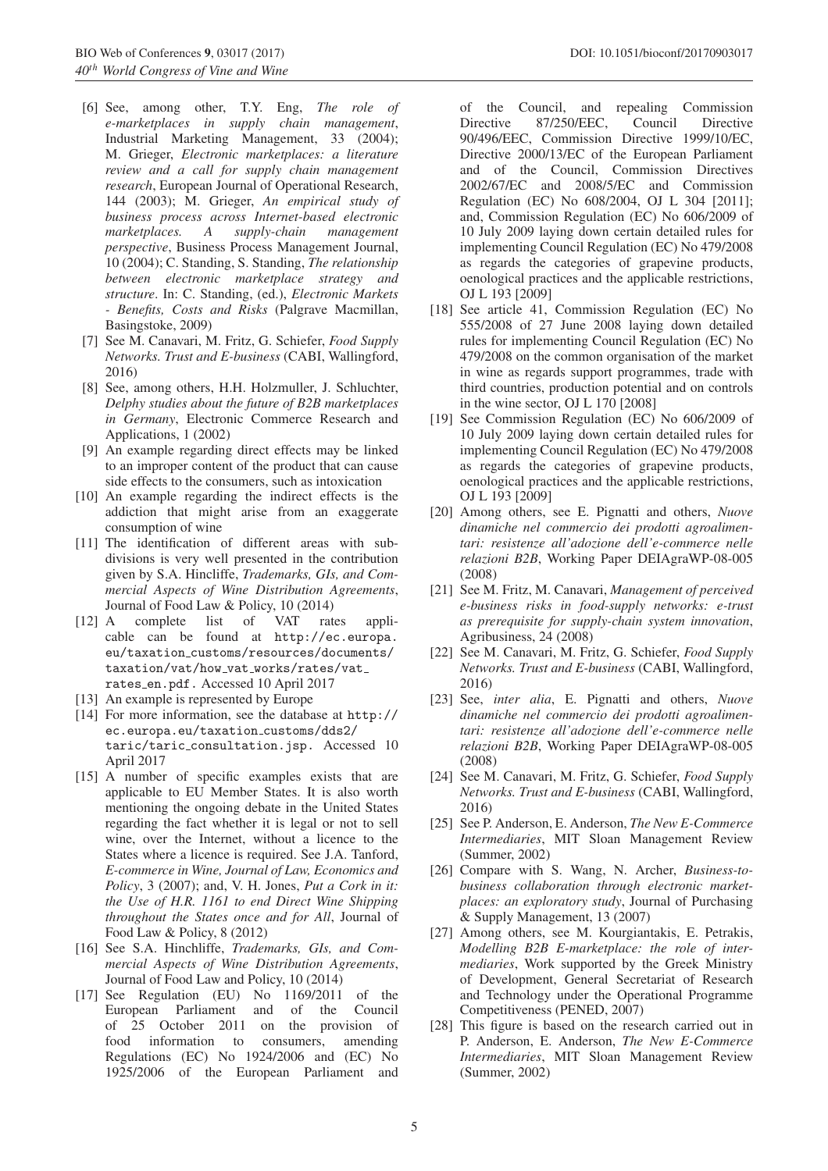- <span id="page-4-0"></span>[6] See, among other, T.Y. Eng, *The role of e-marketplaces in supply chain management*, Industrial Marketing Management, 33 (2004); M. Grieger, *Electronic marketplaces: a literature review and a call for supply chain management research*, European Journal of Operational Research, 144 (2003); M. Grieger, *An empirical study of business process across Internet-based electronic marketplaces. A supply-chain management perspective*, Business Process Management Journal, 10 (2004); C. Standing, S. Standing, *The relationship between electronic marketplace strategy and structure*. In: C. Standing, (ed.), *Electronic Markets - Benefits, Costs and Risks* (Palgrave Macmillan, Basingstoke, 2009)
- <span id="page-4-1"></span>[7] See M. Canavari, M. Fritz, G. Schiefer, *Food Supply Networks. Trust and E-business* (CABI, Wallingford, 2016)
- <span id="page-4-2"></span>[8] See, among others, H.H. Holzmuller, J. Schluchter, *Delphy studies about the future of B2B marketplaces in Germany*, Electronic Commerce Research and Applications, 1 (2002)
- <span id="page-4-3"></span>[9] An example regarding direct effects may be linked to an improper content of the product that can cause side effects to the consumers, such as intoxication
- <span id="page-4-4"></span>[10] An example regarding the indirect effects is the addiction that might arise from an exaggerate consumption of wine
- <span id="page-4-5"></span>[11] The identification of different areas with subdivisions is very well presented in the contribution given by S.A. Hincliffe, *Trademarks, GIs, and Commercial Aspects of Wine Distribution Agreements*, Journal of Food Law & Policy, 10 (2014)
- <span id="page-4-6"></span>[12] A complete list of VAT rates applicable can be found at http://ec.europa. eu/taxation customs/resources/documents/ taxation/vat/how\_vat\_works/rates/vat\_ rates en.pdf. Accessed 10 April 2017
- <span id="page-4-7"></span>[13] An example is represented by Europe
- <span id="page-4-8"></span>[14] For more information, see the database at http:// ec.europa.eu/taxation customs/dds2/ taric/taric consultation.jsp. Accessed 10 April 2017
- <span id="page-4-9"></span>[15] A number of specific examples exists that are applicable to EU Member States. It is also worth mentioning the ongoing debate in the United States regarding the fact whether it is legal or not to sell wine, over the Internet, without a licence to the States where a licence is required. See J.A. Tanford, *E-commerce in Wine, Journal of Law, Economics and Policy*, 3 (2007); and, V. H. Jones, *Put a Cork in it: the Use of H.R. 1161 to end Direct Wine Shipping throughout the States once and for All*, Journal of Food Law & Policy, 8 (2012)
- <span id="page-4-10"></span>[16] See S.A. Hinchliffe, *Trademarks*, *GIs, and Commercial Aspects of Wine Distribution Agreements*, Journal of Food Law and Policy, 10 (2014)
- <span id="page-4-11"></span>[17] See Regulation (EU) No 1169/2011 of the European Parliament and of the Council of 25 October 2011 on the provision of food information to consumers, amending Regulations (EC) No 1924/2006 and (EC) No 1925/2006 of the European Parliament and

of the Council, and repealing Commission Directive 87/250/EEC, Council Directive 90/496/EEC, Commission Directive 1999/10/EC, Directive 2000/13/EC of the European Parliament and of the Council, Commission Directives 2002/67/EC and 2008/5/EC and Commission Regulation (EC) No 608/2004, OJ L 304 [2011]; and, Commission Regulation (EC) No 606/2009 of 10 July 2009 laying down certain detailed rules for implementing Council Regulation (EC) No 479/2008 as regards the categories of grapevine products, oenological practices and the applicable restrictions, OJ L 193 [2009]

- <span id="page-4-12"></span>[18] See article 41, Commission Regulation (EC) No 555/2008 of 27 June 2008 laying down detailed rules for implementing Council Regulation (EC) No 479/2008 on the common organisation of the market in wine as regards support programmes, trade with third countries, production potential and on controls in the wine sector, OJ L 170 [2008]
- <span id="page-4-13"></span>[19] See Commission Regulation (EC) No 606/2009 of 10 July 2009 laying down certain detailed rules for implementing Council Regulation (EC) No 479/2008 as regards the categories of grapevine products, oenological practices and the applicable restrictions, OJ L 193 [2009]
- <span id="page-4-14"></span>[20] Among others, see E. Pignatti and others, *Nuove dinamiche nel commercio dei prodotti agroalimentari: resistenze all'adozione dell'e-commerce nelle relazioni B2B*, Working Paper DEIAgraWP-08-005 (2008)
- <span id="page-4-15"></span>[21] See M. Fritz, M. Canavari, *Management of perceived e-business risks in food-supply networks: e-trust as prerequisite for supply-chain system innovation*, Agribusiness, 24 (2008)
- <span id="page-4-16"></span>[22] See M. Canavari, M. Fritz, G. Schiefer, *Food Supply Networks. Trust and E-business* (CABI, Wallingford, 2016)
- <span id="page-4-17"></span>[23] See, *inter alia*, E. Pignatti and others, *Nuove dinamiche nel commercio dei prodotti agroalimentari: resistenze all'adozione dell'e-commerce nelle relazioni B2B*, Working Paper DEIAgraWP-08-005 (2008)
- <span id="page-4-18"></span>[24] See M. Canavari, M. Fritz, G. Schiefer, *Food Supply Networks. Trust and E-business* (CABI, Wallingford, 2016)
- <span id="page-4-20"></span>[25] See P. Anderson, E. Anderson, *The New E-Commerce Intermediaries*, MIT Sloan Management Review (Summer, 2002)
- <span id="page-4-21"></span>[26] Compare with S. Wang, N. Archer, *Business-tobusiness collaboration through electronic marketplaces: an exploratory study*, Journal of Purchasing & Supply Management, 13 (2007)
- <span id="page-4-22"></span>[27] Among others, see M. Kourgiantakis, E. Petrakis, *Modelling B2B E-marketplace: the role of intermediaries*, Work supported by the Greek Ministry of Development, General Secretariat of Research and Technology under the Operational Programme Competitiveness (PENED, 2007)
- <span id="page-4-19"></span>[28] This figure is based on the research carried out in P. Anderson, E. Anderson, *The New E-Commerce Intermediaries*, MIT Sloan Management Review (Summer, 2002)